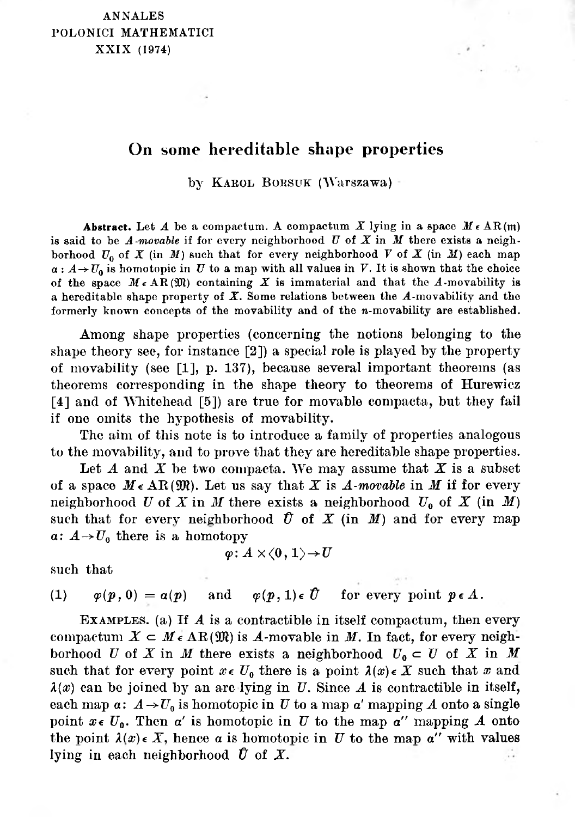# On some hereditable shape properties

by Karol Borsuk (Warszawa)

Abstract. Let  $A$  be a compactum. A compactum  $X$  lying in a space  $M \in AR(m)$ is said to be *A-movable* if for every neighborhood *<sup>U</sup>* of *X* in *M* there exists a neighborhood  $U_0$  of X (in M) such that for every neighborhood V of X (in M) each map  $a: A \rightarrow U_0$  is homotopic in *U* to a map with all values in *V*. It is shown that the choice of the space  $M \in AR(\mathfrak{M})$  containing X is immaterial and that the A-movability is a hereditable shape property of *X.* Some relations between the *A*-movability and the formerly known concepts of the movability and of the *n*-movability are established.

Among shape properties (concerning the notions belonging to the shape theory see, for instance [\[2\]\)](#page-3-0) a special role is played by the property of movability (see [\[1\]](#page-3-1), p. 137), because several important theorems (as theorems corresponding in the shape theory to theorems of Hurewicz [\[4\]](#page-3-3) and of Whitehead [\[5\]\)](#page-3-2) are true for movable compacta, but they fail if one omits the hypothesis of movability.

The aim of this note is to introduce a family of properties analogous to the movability, and to prove that they are hereditable shape properties.

Let *A* and *X* be two compacta. We may assume that *X* is a subset of a space  $M \in \mathbb{AR}(\mathfrak{M})$ . Let us say that X is A-movable in M if for every neighborhood *U* of *X* in *M* there exists a neighborhood  $U_0$  of *X* (in *M*) such that for every neighborhood  $\hat{U}$  of  $X$  (in  $M$ ) and for every map  $\alpha: A \rightarrow U_0$  there is a homotopy

$$
\varphi\colon A\times\langle0,1\rangle{\rightarrow} U
$$

such that

(1)  $\varphi(p, 0) = a(p)$  and  $\varphi(p, 1) \in \hat{U}$  for every point  $p \in A$ .

Examples, (a) If *A* is a contractible in itself compactum, then every compactum  $X \subset M \in \mathbb{AR}(\mathfrak{M})$  is *A*-movable in *M*. In fact, for every neighborhood *U* of *X* in *M* there exists a neighborhood  $U_0 \subset U$  of *X* in *M* such that for every point  $x \in U_0$  there is a point  $\lambda(x) \in X$  such that x and  $\lambda(x)$  can be joined by an arc lying in *U*. Since *A* is contractible in itself, each map  $a: A \rightarrow U_0$  is homotopic in *U* to a map *a'* mapping *A* onto a single point  $x \in U_0$ . Then  $\alpha'$  is homotopic in *U* to the map  $\alpha''$  mapping *A* onto the point  $\lambda(x) \in X$ , hence *a* is homotopic in *U* to the map *a''* with values lying in each neighborhood  $\hat{U}$  of  $X$ . ÷.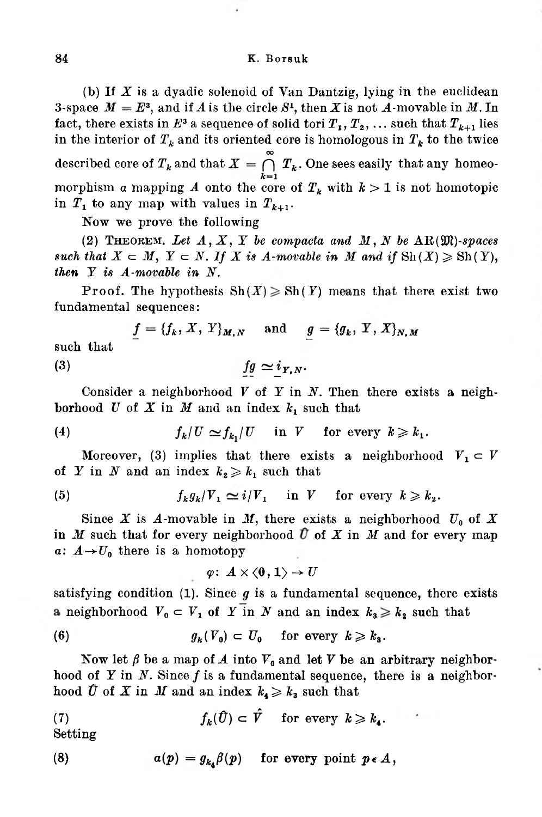## 84 K. Borsuk

(b) If *X* is a dyadic solenoid of Van Dantzig, lying in the euclidean 3-space  $M = E^3$ , and if *A* is the circle  $S^1$ , then *X* is not *A*-movable in *M*. In fact, there exists in  $E^3$  a sequence of solid tori  $T_1, T_2, \ldots$  such that  $T_{k+1}$  lies in the interior of  $T_k$  and its oriented core is homologous in  $T_k$  to the twice described core of  $T_k$  and that  $X = \bigcap_{k=1}^{\infty} T_k$ . One sees easily that any homeomorphism a mapping *A* onto the core of  $T_k$  with  $k > 1$  is not homotopic in  $T_1$  to any map with values in  $T_{k+1}$ .

Now we prove the following

(2) THEOREM. Let  $A$ ,  $X$ ,  $Y$  be compacta and  $M$ ,  $N$  be  $AR(\mathfrak{M})$ -spaces such that  $X \subset M$ ,  $Y \subset N$ . If X is A-movable in M and if  $\text{Sh}(X) \geqslant \text{Sh}(Y)$ , *then Y is A-movable in N.*

Proof. The hypothesis  $\text{Sh}(X) \geq \text{Sh}(Y)$  means that there exist two fundamental sequences:

 $= {f_k, X, Y}_{M,N}$  and  $g = {g_k, Y, X}_{N,N}$ such that  $fg \simeq i_{Y,N}.$ 

## (3)

Consider a neighborhood *V* of *Y* in *N.* Then there exists a neighborhood  $U$  of  $X$  in  $M$  and an index  $k_1$  such that

(4) 
$$
f_k/U \simeq f_{k_1}/U \quad \text{in } V \quad \text{for every } k \geq k_1.
$$

Moreover, (3) implies that there exists a neighborhood  $V_1 \subset V$ of *Y* in *N* and an index  $k_2 \geq k_1$  such that

(5) 
$$
f_k g_k / V_1 \simeq i / V_1 \quad \text{in } V \quad \text{for every } k \geq k_2.
$$

Since *X* is *A*-movable in *M*, there exists a neighborhood  $U_0$  of *X*  $a: A \rightarrow U_0$  there is a homotopy in *M* such that for every neighborhood  $\hat{U}$  of *X* in *M* and for every map

$$
\varphi\colon\thinspace A\times\langle0,1\rangle\to U
$$

satisfying condition (1). Since  $g$  is a fundamental sequence, there exists a neighborhood  $V_0 \subset V_1$  of *Y* in *N* and an index  $k_3 \geq k_2$  such that

(6) 
$$
g_k(V_0) \subset U_0 \quad \text{for every } k \geq k_3.
$$

Now let  $\beta$  be a map of *A* into  $V_0$  and let *V* be an arbitrary neighborhood of *<sup>Y</sup>* in *N.* Since *f* is <sup>a</sup> fundamental sequence, there is <sup>a</sup> neighborhood U of X in M and an index  $k_4 \geq k_3$  such that

(7) 
$$
f_k(\hat{U}) \subset \hat{V}
$$
 for every  $k \geq k_4$ .

Setting

(8) 
$$
a(p) = g_{k_4} \beta(p) \quad \text{for every point } p \in A,
$$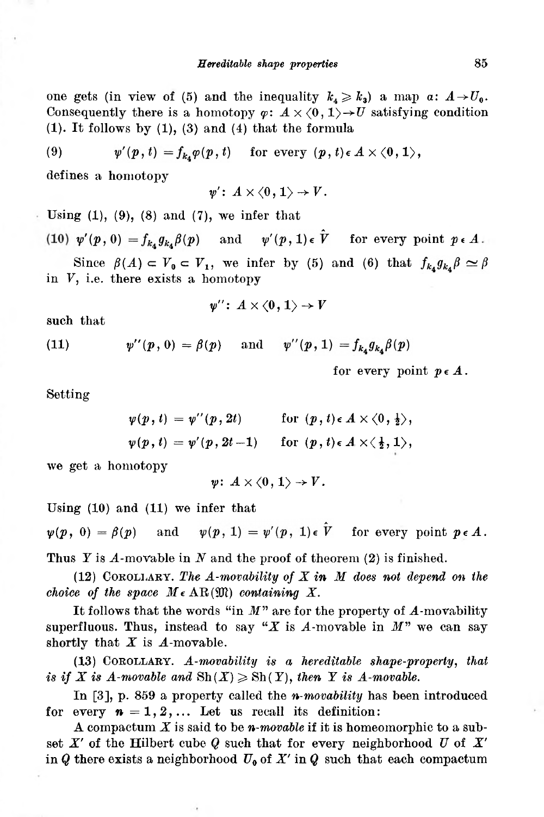one gets (in view of (5) and the inequality  $k_4 \geq k_3$ ) a map  $a: A \rightarrow U_0$ . Consequently there is a homotopy  $\varphi: A \times \langle 0, 1 \rangle \rightarrow U$  satisfying condition  $(1)$ . It follows by  $(1)$ ,  $(3)$  and  $(4)$  that the formula

(9) 
$$
\psi'(p, t) = f_{k_4} \varphi(p, t) \quad \text{for every } (p, t) \in A \times \langle 0, 1 \rangle,
$$

defines a homotopy

$$
\psi'\colon\thinspace A\times\langle0,1\rangle\to V.
$$

Using  $(1)$ ,  $(9)$ ,  $(8)$  and  $(7)$ , we infer that

(10)  $\psi'(p, 0) = f_{k_A} g_{k_A} \beta(p)$  and  $\psi'(p, 1) \in \hat{V}$  for every point  $p \in A$ . Since  $\beta(A) \subset V_0 \subset V_1$ , we infer by (5) and (6) that  $f_{k_4} g_{k_4} \beta \simeq \beta$ in *V,* i.e. there exists a homotopy

$$
\psi''\colon\thinspace A\times\langle0\,,\,1\rangle\to V
$$

such that

(11) 
$$
\psi''(p, 0) = \beta(p)
$$
 and  $\psi''(p, 1) = f_{k_4} g_{k_4} \beta(p)$ 

for every point  $p \in A$ .

Setting

$$
\psi(p, t) = \psi''(p, 2t) \quad \text{for } (p, t) \in A \times \langle 0, \frac{1}{2} \rangle, \n\psi(p, t) = \psi'(p, 2t - 1) \quad \text{for } (p, t) \in A \times \langle \frac{1}{2}, 1 \rangle,
$$

we get a homotopy

$$
\psi\colon\thinspace A\times\langle 0\,,\,1\rangle\to V\,.
$$

Using (10) and (11) we infer that

 $\psi(p, 1) = \psi'(p, 1) \epsilon \hat{V}$ for every point  $p \in A$ .  $\psi(p, 0) = \beta(p)$  and

Thus *Y* is A-movable in *N* and the proof of theorem (2) is finished.

(12) <sup>C</sup>orollary. *The A-movability of X in M does not depend on the choice* of the *space*  $M \in \mathbb{AR}(\mathfrak{M})$  *containing*  $X$ .

It follows that the words "in *M*" are for the property of *A*-movability superfluous. Thus, instead to say " $X$  is  $A$ -movable in  $M$ " we can say shortly that  $X$  is  $A$ -movable.

(13) Corollary. *A-movability is a hereditable shape-property, that is* if *X* is *A-movable* and  $\text{Sh}(X) \geqslant \text{Sh}(Y)$ , *then Y is A-movable.* 

In [3], p. 859 a property called the *n-movability* has been introduced for every  $n = 1, 2, \ldots$  Let us recall its definition:

A compactum *X* is said to be *n-movable* if it is homeomorphic to a subset *X'* of the Hilbert cube *<sup>Q</sup>* such that for every neighborhood *<sup>U</sup>* of *X'* in  $Q$  there exists a neighborhood  $U_0$  of  $X'$  in  $Q$  such that each compactum